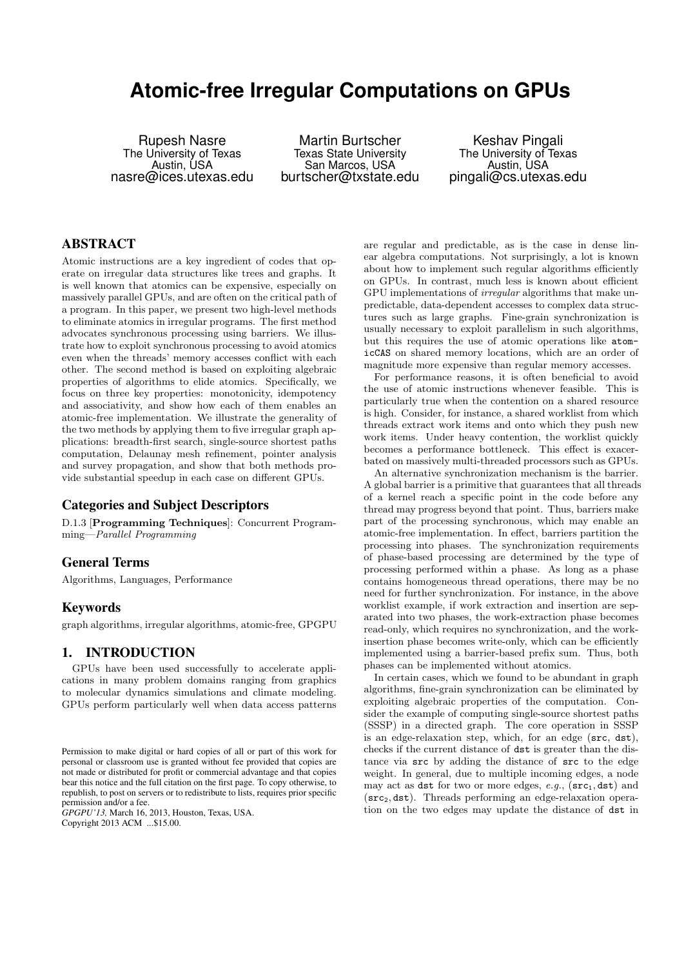# **Atomic-free Irregular Computations on GPUs**

Rupesh Nasre The University of Texas Austin, USA nasre@ices.utexas.edu

Martin Burtscher Texas State University San Marcos, USA burtscher@txstate.edu

Keshav Pingali The University of Texas Austin, USA pingali@cs.utexas.edu

# ABSTRACT

Atomic instructions are a key ingredient of codes that operate on irregular data structures like trees and graphs. It is well known that atomics can be expensive, especially on massively parallel GPUs, and are often on the critical path of a program. In this paper, we present two high-level methods to eliminate atomics in irregular programs. The first method advocates synchronous processing using barriers. We illustrate how to exploit synchronous processing to avoid atomics even when the threads' memory accesses conflict with each other. The second method is based on exploiting algebraic properties of algorithms to elide atomics. Specifically, we focus on three key properties: monotonicity, idempotency and associativity, and show how each of them enables an atomic-free implementation. We illustrate the generality of the two methods by applying them to five irregular graph applications: breadth-first search, single-source shortest paths computation, Delaunay mesh refinement, pointer analysis and survey propagation, and show that both methods provide substantial speedup in each case on different GPUs.

### Categories and Subject Descriptors

D.1.3 [Programming Techniques]: Concurrent Programming—Parallel Programming

## General Terms

Algorithms, Languages, Performance

# Keywords

graph algorithms, irregular algorithms, atomic-free, GPGPU

# 1. INTRODUCTION

GPUs have been used successfully to accelerate applications in many problem domains ranging from graphics to molecular dynamics simulations and climate modeling. GPUs perform particularly well when data access patterns

*GPGPU'13,* March 16, 2013, Houston, Texas, USA. Copyright 2013 ACM ...\$15.00.

are regular and predictable, as is the case in dense linear algebra computations. Not surprisingly, a lot is known about how to implement such regular algorithms efficiently on GPUs. In contrast, much less is known about efficient GPU implementations of irregular algorithms that make unpredictable, data-dependent accesses to complex data structures such as large graphs. Fine-grain synchronization is usually necessary to exploit parallelism in such algorithms, but this requires the use of atomic operations like atomicCAS on shared memory locations, which are an order of magnitude more expensive than regular memory accesses.

For performance reasons, it is often beneficial to avoid the use of atomic instructions whenever feasible. This is particularly true when the contention on a shared resource is high. Consider, for instance, a shared worklist from which threads extract work items and onto which they push new work items. Under heavy contention, the worklist quickly becomes a performance bottleneck. This effect is exacerbated on massively multi-threaded processors such as GPUs.

An alternative synchronization mechanism is the barrier. A global barrier is a primitive that guarantees that all threads of a kernel reach a specific point in the code before any thread may progress beyond that point. Thus, barriers make part of the processing synchronous, which may enable an atomic-free implementation. In effect, barriers partition the processing into phases. The synchronization requirements of phase-based processing are determined by the type of processing performed within a phase. As long as a phase contains homogeneous thread operations, there may be no need for further synchronization. For instance, in the above worklist example, if work extraction and insertion are separated into two phases, the work-extraction phase becomes read-only, which requires no synchronization, and the workinsertion phase becomes write-only, which can be efficiently implemented using a barrier-based prefix sum. Thus, both phases can be implemented without atomics.

In certain cases, which we found to be abundant in graph algorithms, fine-grain synchronization can be eliminated by exploiting algebraic properties of the computation. Consider the example of computing single-source shortest paths (SSSP) in a directed graph. The core operation in SSSP is an edge-relaxation step, which, for an edge (src, dst), checks if the current distance of dst is greater than the distance via src by adding the distance of src to the edge weight. In general, due to multiple incoming edges, a node may act as dst for two or more edges,  $e.q.,$   $(\texttt{src}_1, \texttt{dst})$  and (src<sub>2</sub>, dst). Threads performing an edge-relaxation operation on the two edges may update the distance of dst in

Permission to make digital or hard copies of all or part of this work for personal or classroom use is granted without fee provided that copies are not made or distributed for profit or commercial advantage and that copies bear this notice and the full citation on the first page. To copy otherwise, to republish, to post on servers or to redistribute to lists, requires prior specific permission and/or a fee.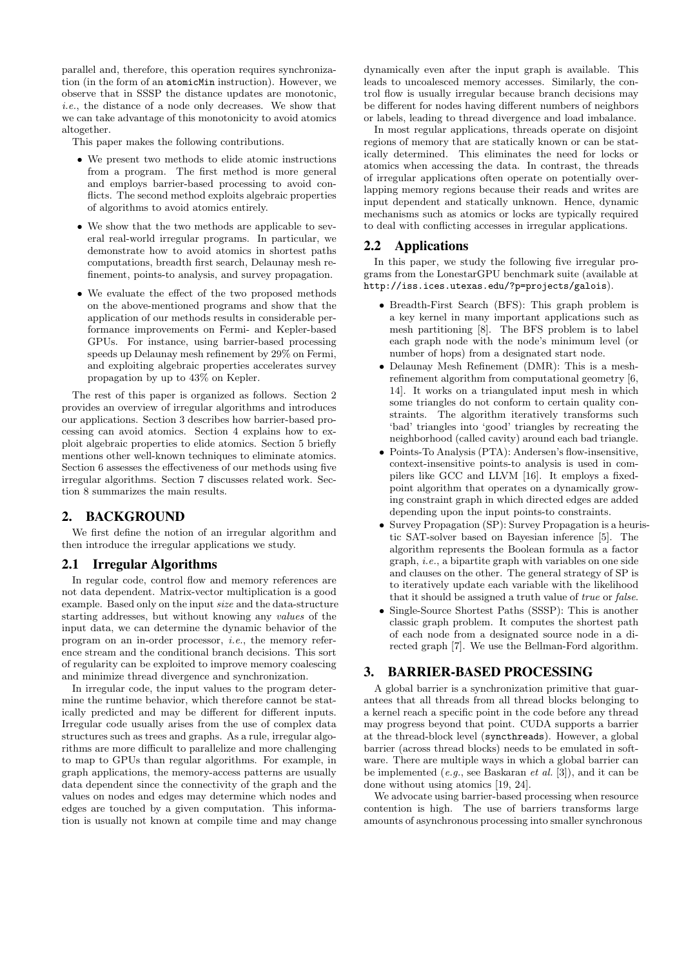parallel and, therefore, this operation requires synchronization (in the form of an atomicMin instruction). However, we observe that in SSSP the distance updates are monotonic, i.e., the distance of a node only decreases. We show that we can take advantage of this monotonicity to avoid atomics altogether.

This paper makes the following contributions.

- We present two methods to elide atomic instructions from a program. The first method is more general and employs barrier-based processing to avoid conflicts. The second method exploits algebraic properties of algorithms to avoid atomics entirely.
- We show that the two methods are applicable to several real-world irregular programs. In particular, we demonstrate how to avoid atomics in shortest paths computations, breadth first search, Delaunay mesh refinement, points-to analysis, and survey propagation.
- We evaluate the effect of the two proposed methods on the above-mentioned programs and show that the application of our methods results in considerable performance improvements on Fermi- and Kepler-based GPUs. For instance, using barrier-based processing speeds up Delaunay mesh refinement by 29% on Fermi, and exploiting algebraic properties accelerates survey propagation by up to 43% on Kepler.

The rest of this paper is organized as follows. Section 2 provides an overview of irregular algorithms and introduces our applications. Section 3 describes how barrier-based processing can avoid atomics. Section 4 explains how to exploit algebraic properties to elide atomics. Section 5 briefly mentions other well-known techniques to eliminate atomics. Section 6 assesses the effectiveness of our methods using five irregular algorithms. Section 7 discusses related work. Section 8 summarizes the main results.

# 2. BACKGROUND

We first define the notion of an irregular algorithm and then introduce the irregular applications we study.

# 2.1 Irregular Algorithms

In regular code, control flow and memory references are not data dependent. Matrix-vector multiplication is a good example. Based only on the input size and the data-structure starting addresses, but without knowing any values of the input data, we can determine the dynamic behavior of the program on an in-order processor, i.e., the memory reference stream and the conditional branch decisions. This sort of regularity can be exploited to improve memory coalescing and minimize thread divergence and synchronization.

In irregular code, the input values to the program determine the runtime behavior, which therefore cannot be statically predicted and may be different for different inputs. Irregular code usually arises from the use of complex data structures such as trees and graphs. As a rule, irregular algorithms are more difficult to parallelize and more challenging to map to GPUs than regular algorithms. For example, in graph applications, the memory-access patterns are usually data dependent since the connectivity of the graph and the values on nodes and edges may determine which nodes and edges are touched by a given computation. This information is usually not known at compile time and may change

dynamically even after the input graph is available. This leads to uncoalesced memory accesses. Similarly, the control flow is usually irregular because branch decisions may be different for nodes having different numbers of neighbors or labels, leading to thread divergence and load imbalance.

In most regular applications, threads operate on disjoint regions of memory that are statically known or can be statically determined. This eliminates the need for locks or atomics when accessing the data. In contrast, the threads of irregular applications often operate on potentially overlapping memory regions because their reads and writes are input dependent and statically unknown. Hence, dynamic mechanisms such as atomics or locks are typically required to deal with conflicting accesses in irregular applications.

### 2.2 Applications

In this paper, we study the following five irregular programs from the LonestarGPU benchmark suite (available at http://iss.ices.utexas.edu/?p=projects/galois).

- Breadth-First Search (BFS): This graph problem is a key kernel in many important applications such as mesh partitioning [8]. The BFS problem is to label each graph node with the node's minimum level (or number of hops) from a designated start node.
- Delaunay Mesh Refinement (DMR): This is a meshrefinement algorithm from computational geometry [6, 14]. It works on a triangulated input mesh in which some triangles do not conform to certain quality constraints. The algorithm iteratively transforms such 'bad' triangles into 'good' triangles by recreating the neighborhood (called cavity) around each bad triangle.
- Points-To Analysis (PTA): Andersen's flow-insensitive, context-insensitive points-to analysis is used in compilers like GCC and LLVM [16]. It employs a fixedpoint algorithm that operates on a dynamically growing constraint graph in which directed edges are added depending upon the input points-to constraints.
- Survey Propagation (SP): Survey Propagation is a heuristic SAT-solver based on Bayesian inference [5]. The algorithm represents the Boolean formula as a factor graph, i.e., a bipartite graph with variables on one side and clauses on the other. The general strategy of SP is to iteratively update each variable with the likelihood that it should be assigned a truth value of true or false.
- Single-Source Shortest Paths (SSSP): This is another classic graph problem. It computes the shortest path of each node from a designated source node in a directed graph [7]. We use the Bellman-Ford algorithm.

# 3. BARRIER-BASED PROCESSING

A global barrier is a synchronization primitive that guarantees that all threads from all thread blocks belonging to a kernel reach a specific point in the code before any thread may progress beyond that point. CUDA supports a barrier at the thread-block level (syncthreads). However, a global barrier (across thread blocks) needs to be emulated in software. There are multiple ways in which a global barrier can be implemented  $(e.g.,)$  see Baskaran  $et al. [3]$ , and it can be done without using atomics [19, 24].

We advocate using barrier-based processing when resource contention is high. The use of barriers transforms large amounts of asynchronous processing into smaller synchronous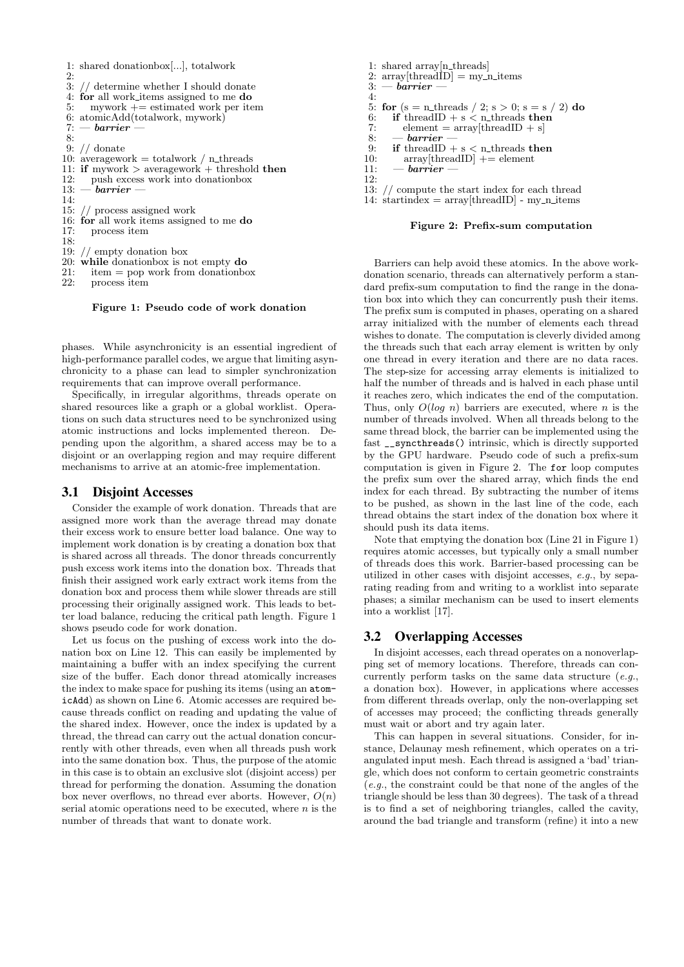```
1: shared donationbox[...], totalwork
 \frac{2}{3}3: // determine whether I should donate
 4: for all work items assigned to me do<br>5: mywork += estimated work per ite
       mywork += estimated work per item
 6: atomicAdd(totalwork, mywork)<br>7: \frac{6}{5} barrier \frac{6}{5}- barrier8:
 9: // donate
10: averagework = totalwork / n_threads
11: if mywork > averagework + threshold then
12: push excess work into donationbox
13: -\text{barrier}14:
15: // process assigned work
16: for all work items assigned to me \bf{do}<br>17: process item
       process item
\frac{18}{19}1/ empty donation box
20: while donationbox is not empty do
21: item = pop work from donationbox<br>22: process item
       process item
```
Figure 1: Pseudo code of work donation

phases. While asynchronicity is an essential ingredient of high-performance parallel codes, we argue that limiting asynchronicity to a phase can lead to simpler synchronization requirements that can improve overall performance.

Specifically, in irregular algorithms, threads operate on shared resources like a graph or a global worklist. Operations on such data structures need to be synchronized using atomic instructions and locks implemented thereon. Depending upon the algorithm, a shared access may be to a disjoint or an overlapping region and may require different mechanisms to arrive at an atomic-free implementation.

### 3.1 Disjoint Accesses

Consider the example of work donation. Threads that are assigned more work than the average thread may donate their excess work to ensure better load balance. One way to implement work donation is by creating a donation box that is shared across all threads. The donor threads concurrently push excess work items into the donation box. Threads that finish their assigned work early extract work items from the donation box and process them while slower threads are still processing their originally assigned work. This leads to better load balance, reducing the critical path length. Figure 1 shows pseudo code for work donation.

Let us focus on the pushing of excess work into the donation box on Line 12. This can easily be implemented by maintaining a buffer with an index specifying the current size of the buffer. Each donor thread atomically increases the index to make space for pushing its items (using an atomicAdd) as shown on Line 6. Atomic accesses are required because threads conflict on reading and updating the value of the shared index. However, once the index is updated by a thread, the thread can carry out the actual donation concurrently with other threads, even when all threads push work into the same donation box. Thus, the purpose of the atomic in this case is to obtain an exclusive slot (disjoint access) per thread for performing the donation. Assuming the donation box never overflows, no thread ever aborts. However,  $O(n)$ serial atomic operations need to be executed, where  $n$  is the number of threads that want to donate work.

1: shared array[n\_threads]<br>2:  $array[threshold] = my_1$ 2:  $array[threadID] = my_n items$ <br>3:  $- barrier$  $barrier$ 4: 5: for  $(s = n_\text{threads} / 2; s > 0; s = s / 2)$  do 6: if thread  $n + s < n$  threads then 6: if threadID + s  $\leq$  n threads then<br>7: element = array threadID + s 7: element =  $\text{array}[{\text{threadID + s}}]$ <br>8:  $\text{barrier}$  = 8:  $\frac{3}{9}$  = **barrier** 9: if threadID + s < n\_threads then<br>10:  $array[$  threadID + = element 10: array[threadID] += element  $11: -bar$ 12: 13: // compute the start index for each thread 14: startindex  $=$  array[threadID] - my\_n\_items

#### Figure 2: Prefix-sum computation

Barriers can help avoid these atomics. In the above workdonation scenario, threads can alternatively perform a standard prefix-sum computation to find the range in the donation box into which they can concurrently push their items. The prefix sum is computed in phases, operating on a shared array initialized with the number of elements each thread wishes to donate. The computation is cleverly divided among the threads such that each array element is written by only one thread in every iteration and there are no data races. The step-size for accessing array elements is initialized to half the number of threads and is halved in each phase until it reaches zero, which indicates the end of the computation. Thus, only  $O(log n)$  barriers are executed, where n is the number of threads involved. When all threads belong to the same thread block, the barrier can be implemented using the fast \_\_syncthreads() intrinsic, which is directly supported by the GPU hardware. Pseudo code of such a prefix-sum computation is given in Figure 2. The for loop computes the prefix sum over the shared array, which finds the end index for each thread. By subtracting the number of items to be pushed, as shown in the last line of the code, each thread obtains the start index of the donation box where it should push its data items.

Note that emptying the donation box (Line 21 in Figure 1) requires atomic accesses, but typically only a small number of threads does this work. Barrier-based processing can be utilized in other cases with disjoint accesses,  $e.g.,$  by separating reading from and writing to a worklist into separate phases; a similar mechanism can be used to insert elements into a worklist [17].

### 3.2 Overlapping Accesses

In disjoint accesses, each thread operates on a nonoverlapping set of memory locations. Therefore, threads can concurrently perform tasks on the same data structure (e.g., a donation box). However, in applications where accesses from different threads overlap, only the non-overlapping set of accesses may proceed; the conflicting threads generally must wait or abort and try again later.

This can happen in several situations. Consider, for instance, Delaunay mesh refinement, which operates on a triangulated input mesh. Each thread is assigned a 'bad' triangle, which does not conform to certain geometric constraints (e.g., the constraint could be that none of the angles of the triangle should be less than 30 degrees). The task of a thread is to find a set of neighboring triangles, called the cavity, around the bad triangle and transform (refine) it into a new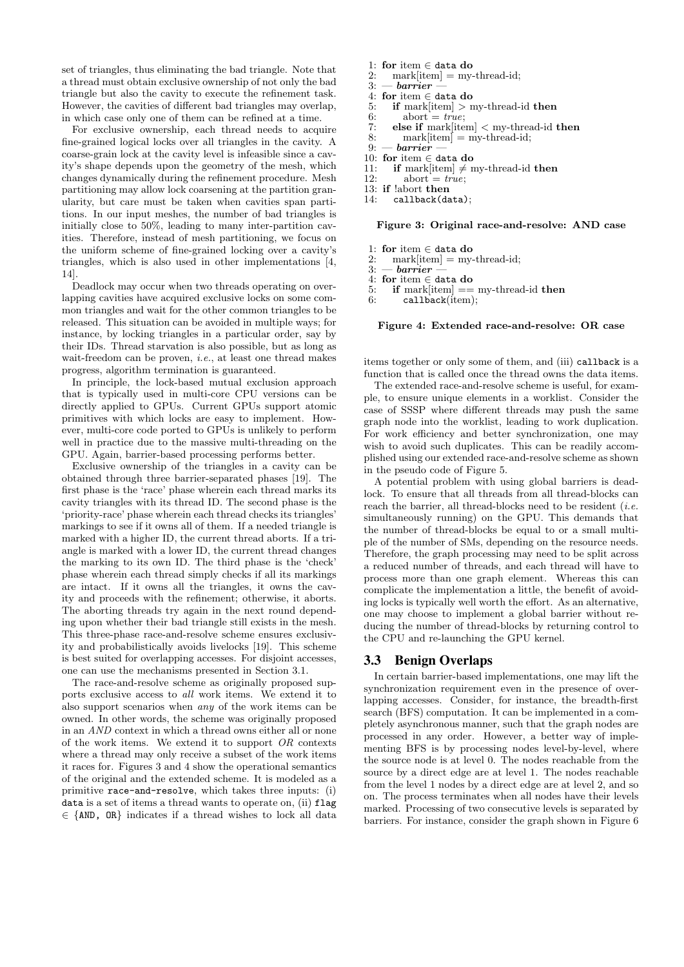set of triangles, thus eliminating the bad triangle. Note that a thread must obtain exclusive ownership of not only the bad triangle but also the cavity to execute the refinement task. However, the cavities of different bad triangles may overlap, in which case only one of them can be refined at a time.

For exclusive ownership, each thread needs to acquire fine-grained logical locks over all triangles in the cavity. A coarse-grain lock at the cavity level is infeasible since a cavity's shape depends upon the geometry of the mesh, which changes dynamically during the refinement procedure. Mesh partitioning may allow lock coarsening at the partition granularity, but care must be taken when cavities span partitions. In our input meshes, the number of bad triangles is initially close to 50%, leading to many inter-partition cavities. Therefore, instead of mesh partitioning, we focus on the uniform scheme of fine-grained locking over a cavity's triangles, which is also used in other implementations [4, 14].

Deadlock may occur when two threads operating on overlapping cavities have acquired exclusive locks on some common triangles and wait for the other common triangles to be released. This situation can be avoided in multiple ways; for instance, by locking triangles in a particular order, say by their IDs. Thread starvation is also possible, but as long as wait-freedom can be proven, *i.e.*, at least one thread makes progress, algorithm termination is guaranteed.

In principle, the lock-based mutual exclusion approach that is typically used in multi-core CPU versions can be directly applied to GPUs. Current GPUs support atomic primitives with which locks are easy to implement. However, multi-core code ported to GPUs is unlikely to perform well in practice due to the massive multi-threading on the GPU. Again, barrier-based processing performs better.

Exclusive ownership of the triangles in a cavity can be obtained through three barrier-separated phases [19]. The first phase is the 'race' phase wherein each thread marks its cavity triangles with its thread ID. The second phase is the 'priority-race' phase wherein each thread checks its triangles' markings to see if it owns all of them. If a needed triangle is marked with a higher ID, the current thread aborts. If a triangle is marked with a lower ID, the current thread changes the marking to its own ID. The third phase is the 'check' phase wherein each thread simply checks if all its markings are intact. If it owns all the triangles, it owns the cavity and proceeds with the refinement; otherwise, it aborts. The aborting threads try again in the next round depending upon whether their bad triangle still exists in the mesh. This three-phase race-and-resolve scheme ensures exclusivity and probabilistically avoids livelocks [19]. This scheme is best suited for overlapping accesses. For disjoint accesses, one can use the mechanisms presented in Section 3.1.

The race-and-resolve scheme as originally proposed supports exclusive access to all work items. We extend it to also support scenarios when any of the work items can be owned. In other words, the scheme was originally proposed in an AND context in which a thread owns either all or none of the work items. We extend it to support OR contexts where a thread may only receive a subset of the work items it races for. Figures 3 and 4 show the operational semantics of the original and the extended scheme. It is modeled as a primitive race-and-resolve, which takes three inputs: (i) data is a set of items a thread wants to operate on, (ii) flag ∈ {AND, OR} indicates if a thread wishes to lock all data

- 1: for item  $\in$  data do 2: marklitem = mv
- 2:  $max[item] = my-thread-id;$ <br>3:  $barrier -$
- $-$  barrier
- 4: for item  $\in$  data do 5: if marklitem  $> n$
- if mark[item]  $>$  my-thread-id then
- 6: abort  $= true$ :
- 7: **else if** mark[item]  $\lt$  my-thread-id **then**<br>8: mark[item] = my-thread-id;
- 8:  $max[item] = my-thread-id;$ <br>9:  $barrier -$
- $barrier$
- 10: for item  $\in$  data do
- 11: if mark[item]  $\neq$  my-thread-id then
- 12:  $abort = true;$
- 13: if labort then<br>14: callback(da
- callback(data);

#### Figure 3: Original race-and-resolve: AND case

- 1: for item  $\in$  data do 2: marklitem = mv
- 2:  $\text{mark}[item] = \text{my-thread-id};$ <br>3:  $\text{barrier} \rightarrow$
- $barrier$
- 
- 4: for item  $\in$  data do 5: if mark[item] == if mark[item]  $==$  my-thread-id then
- 6: callback(item);

#### Figure 4: Extended race-and-resolve: OR case

items together or only some of them, and (iii) callback is a function that is called once the thread owns the data items.

The extended race-and-resolve scheme is useful, for example, to ensure unique elements in a worklist. Consider the case of SSSP where different threads may push the same graph node into the worklist, leading to work duplication. For work efficiency and better synchronization, one may wish to avoid such duplicates. This can be readily accomplished using our extended race-and-resolve scheme as shown in the pseudo code of Figure 5.

A potential problem with using global barriers is deadlock. To ensure that all threads from all thread-blocks can reach the barrier, all thread-blocks need to be resident  $(i.e.$ simultaneously running) on the GPU. This demands that the number of thread-blocks be equal to or a small multiple of the number of SMs, depending on the resource needs. Therefore, the graph processing may need to be split across a reduced number of threads, and each thread will have to process more than one graph element. Whereas this can complicate the implementation a little, the benefit of avoiding locks is typically well worth the effort. As an alternative, one may choose to implement a global barrier without reducing the number of thread-blocks by returning control to the CPU and re-launching the GPU kernel.

# 3.3 Benign Overlaps

In certain barrier-based implementations, one may lift the synchronization requirement even in the presence of overlapping accesses. Consider, for instance, the breadth-first search (BFS) computation. It can be implemented in a completely asynchronous manner, such that the graph nodes are processed in any order. However, a better way of implementing BFS is by processing nodes level-by-level, where the source node is at level 0. The nodes reachable from the source by a direct edge are at level 1. The nodes reachable from the level 1 nodes by a direct edge are at level 2, and so on. The process terminates when all nodes have their levels marked. Processing of two consecutive levels is separated by barriers. For instance, consider the graph shown in Figure 6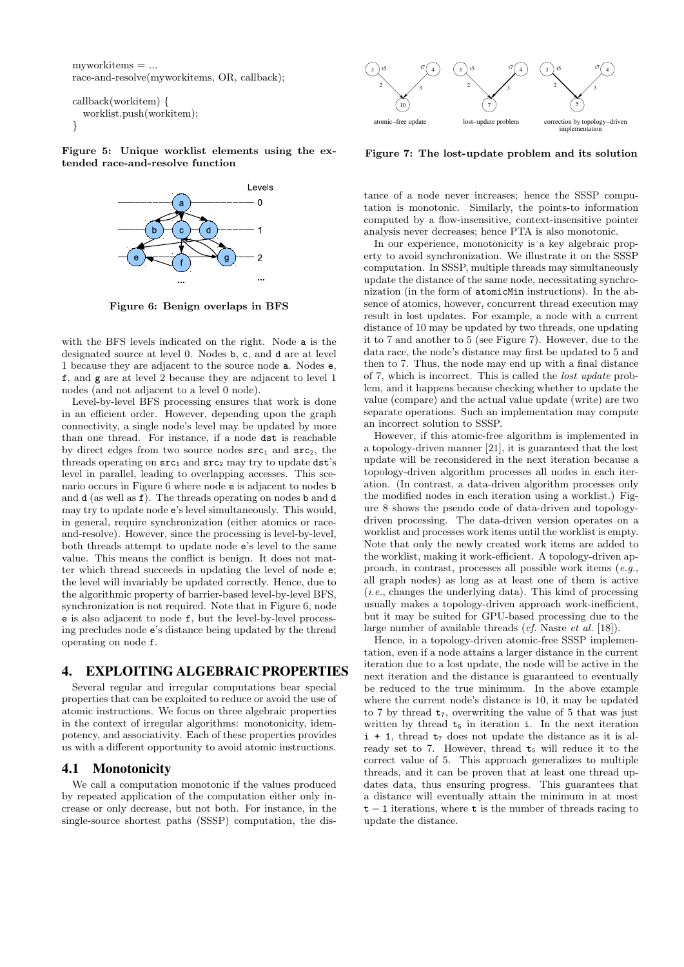```
myworkitems = ...
race-and-resolve(myworkitems, OR, callback);
```
callback(workitem) { worklist.push(workitem); }

Figure 5: Unique worklist elements using the extended race-and-resolve function



Figure 6: Benign overlaps in BFS

with the BFS levels indicated on the right. Node a is the designated source at level 0. Nodes b, c, and d are at level 1 because they are adjacent to the source node a. Nodes e, f, and g are at level 2 because they are adjacent to level 1 nodes (and not adjacent to a level 0 node).

Level-by-level BFS processing ensures that work is done in an efficient order. However, depending upon the graph connectivity, a single node's level may be updated by more than one thread. For instance, if a node dst is reachable by direct edges from two source nodes  $src_1$  and  $src_2$ , the threads operating on  $src_1$  and  $src_2$  may try to update dst's level in parallel, leading to overlapping accesses. This scenario occurs in Figure 6 where node e is adjacent to nodes b and d (as well as f). The threads operating on nodes b and d may try to update node e's level simultaneously. This would, in general, require synchronization (either atomics or raceand-resolve). However, since the processing is level-by-level, both threads attempt to update node e's level to the same value. This means the conflict is benign. It does not matter which thread succeeds in updating the level of node e; the level will invariably be updated correctly. Hence, due to the algorithmic property of barrier-based level-by-level BFS, synchronization is not required. Note that in Figure 6, node e is also adjacent to node f, but the level-by-level processing precludes node e's distance being updated by the thread operating on node f. race-and-reached mysociations, OR, calibade);<br>
which paths (working) {<br>
which paths (working) computation);<br>
Note the paths (working) computation, the dis-<br>
Figure 5: Unique worklist chements using the ex-<br>
Figure 5: Uniq

# 4. EXPLOITING ALGEBRAIC PROPERTIES

Several regular and irregular computations bear special properties that can be exploited to reduce or avoid the use of atomic instructions. We focus on three algebraic properties in the context of irregular algorithms: monotonicity, idempotency, and associativity. Each of these properties provides us with a different opportunity to avoid atomic instructions.

# 4.1 Monotonicity

We call a computation monotonic if the values produced by repeated application of the computation either only increase or only decrease, but not both. For instance, in the



Figure 7: The lost-update problem and its solution

tance of a node never increases; hence the SSSP computation is monotonic. Similarly, the points-to information computed by a flow-insensitive, context-insensitive pointer analysis never decreases; hence PTA is also monotonic.

In our experience, monotonicity is a key algebraic property to avoid synchronization. We illustrate it on the SSSP computation. In SSSP, multiple threads may simultaneously update the distance of the same node, necessitating synchronization (in the form of atomicMin instructions). In the absence of atomics, however, concurrent thread execution may result in lost updates. For example, a node with a current distance of 10 may be updated by two threads, one updating it to 7 and another to 5 (see Figure 7). However, due to the data race, the node's distance may first be updated to 5 and then to 7. Thus, the node may end up with a final distance of 7, which is incorrect. This is called the lost update problem, and it happens because checking whether to update the value (compare) and the actual value update (write) are two separate operations. Such an implementation may compute an incorrect solution to SSSP.

However, if this atomic-free algorithm is implemented in a topology-driven manner [21], it is guaranteed that the lost update will be reconsidered in the next iteration because a topology-driven algorithm processes all nodes in each iteration. (In contrast, a data-driven algorithm processes only the modified nodes in each iteration using a worklist.) Figure 8 shows the pseudo code of data-driven and topologydriven processing. The data-driven version operates on a worklist and processes work items until the worklist is empty. Note that only the newly created work items are added to the worklist, making it work-efficient. A topology-driven approach, in contrast, processes all possible work items  $(e.g.,$ all graph nodes) as long as at least one of them is active (i.e., changes the underlying data). This kind of processing usually makes a topology-driven approach work-inefficient, but it may be suited for GPU-based processing due to the large number of available threads (cf. Nasre et al. [18]).

Hence, in a topology-driven atomic-free SSSP implementation, even if a node attains a larger distance in the current iteration due to a lost update, the node will be active in the next iteration and the distance is guaranteed to eventually be reduced to the true minimum. In the above example where the current node's distance is 10, it may be updated to 7 by thread  $t_7$ , overwriting the value of 5 that was just written by thread  $t_5$  in iteration i. In the next iteration  $i + 1$ , thread  $t_7$  does not update the distance as it is already set to 7. However, thread  $t_5$  will reduce it to the correct value of 5. This approach generalizes to multiple threads, and it can be proven that at least one thread updates data, thus ensuring progress. This guarantees that a distance will eventually attain the minimum in at most  $t - 1$  iterations, where t is the number of threads racing to update the distance.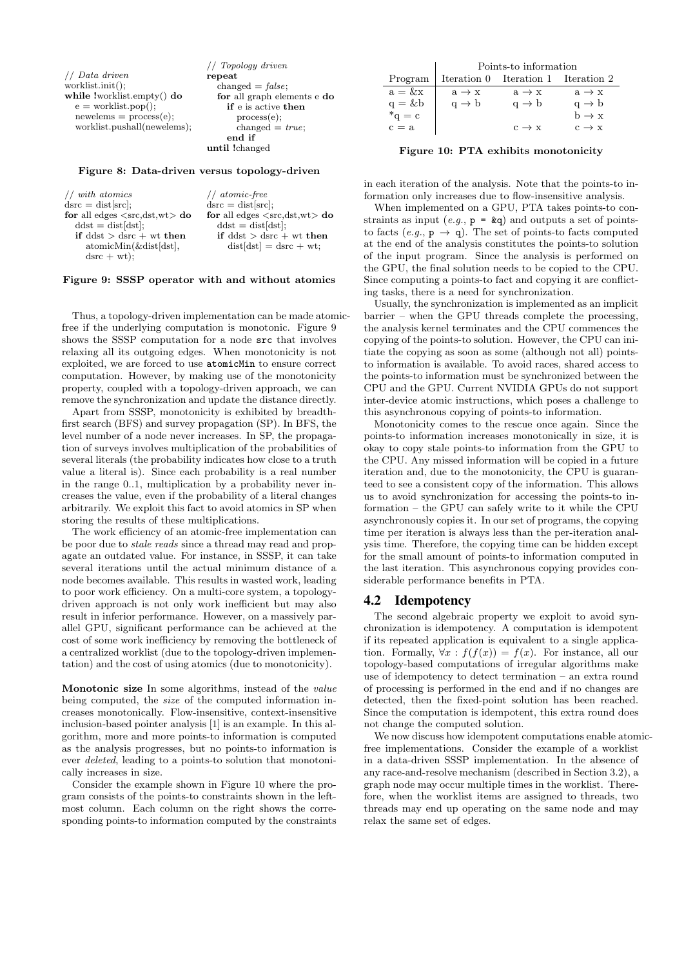// Data driven worklist.init(); while !worklist.empty() do  $e = \text{worklist.pop}$ );  $newelems = process(e);$ worklist.pushall(newelems);

// Topology driven repeat changed  $= false;$ for all graph elements e do if e is active then process(e); changed  $= true;$ end if until !changed

#### Figure 8: Data-driven versus topology-driven

| $//$ with atomics                                                              | $// atomic-free$                                                               |
|--------------------------------------------------------------------------------|--------------------------------------------------------------------------------|
| $dsrc = dist[src];$                                                            | $dsrc = dist[src];$                                                            |
| for all edges $\langle \text{src,dst,wt}\rangle$ do                            | for all edges $\langle \text{src,dst,wt}\rangle$ do                            |
| $\mathrm{d} \mathrm{d} \mathrm{d} t = \mathrm{dist}[\mathrm{d} \mathrm{d} t];$ | $\mathrm{d} \mathrm{d} \mathrm{d} t = \mathrm{dist}[\mathrm{d} \mathrm{d} t];$ |
| if $\text{ddst} > \text{dsrc} + \text{wt}$ then                                |                                                                                |
| $atomicMin(\&dist[dst],$                                                       | $dist[dst] = dsrc + wt;$                                                       |
| $dsrc + wt);$                                                                  |                                                                                |

#### Figure 9: SSSP operator with and without atomics

Thus, a topology-driven implementation can be made atomicfree if the underlying computation is monotonic. Figure 9 shows the SSSP computation for a node src that involves relaxing all its outgoing edges. When monotonicity is not exploited, we are forced to use atomicMin to ensure correct computation. However, by making use of the monotonicity property, coupled with a topology-driven approach, we can remove the synchronization and update the distance directly.

Apart from SSSP, monotonicity is exhibited by breadthfirst search (BFS) and survey propagation (SP). In BFS, the level number of a node never increases. In SP, the propagation of surveys involves multiplication of the probabilities of several literals (the probability indicates how close to a truth value a literal is). Since each probability is a real number in the range 0..1, multiplication by a probability never increases the value, even if the probability of a literal changes arbitrarily. We exploit this fact to avoid atomics in SP when storing the results of these multiplications.

The work efficiency of an atomic-free implementation can be poor due to stale reads since a thread may read and propagate an outdated value. For instance, in SSSP, it can take several iterations until the actual minimum distance of a node becomes available. This results in wasted work, leading to poor work efficiency. On a multi-core system, a topologydriven approach is not only work inefficient but may also result in inferior performance. However, on a massively parallel GPU, significant performance can be achieved at the cost of some work inefficiency by removing the bottleneck of a centralized worklist (due to the topology-driven implementation) and the cost of using atomics (due to monotonicity).

Monotonic size In some algorithms, instead of the value being computed, the size of the computed information increases monotonically. Flow-insensitive, context-insensitive inclusion-based pointer analysis [1] is an example. In this algorithm, more and more points-to information is computed as the analysis progresses, but no points-to information is ever deleted, leading to a points-to solution that monotonically increases in size.

Consider the example shown in Figure 10 where the program consists of the points-to constraints shown in the leftmost column. Each column on the right shows the corresponding points-to information computed by the constraints

|                        | Points-to information |                                     |                   |
|------------------------|-----------------------|-------------------------------------|-------------------|
| Program                |                       | Iteration 0 Iteration 1 Iteration 2 |                   |
| $a = kx$               | $a \rightarrow x$     | $a \rightarrow x$                   | $a \rightarrow x$ |
| $q = \&b$<br>* $q = c$ | $q \rightarrow b$     | $q \rightarrow b$                   | $q \rightarrow b$ |
|                        |                       |                                     | $h \rightarrow x$ |
| $c = a$                |                       | $c \rightarrow x$                   | $c \rightarrow x$ |

Figure 10: PTA exhibits monotonicity

in each iteration of the analysis. Note that the points-to information only increases due to flow-insensitive analysis.

When implemented on a GPU, PTA takes points-to constraints as input  $(e.g., p = \&q)$  and outputs a set of pointsto facts  $(e.g., p \rightarrow q)$ . The set of points-to facts computed at the end of the analysis constitutes the points-to solution of the input program. Since the analysis is performed on the GPU, the final solution needs to be copied to the CPU. Since computing a points-to fact and copying it are conflicting tasks, there is a need for synchronization.

Usually, the synchronization is implemented as an implicit barrier – when the GPU threads complete the processing, the analysis kernel terminates and the CPU commences the copying of the points-to solution. However, the CPU can initiate the copying as soon as some (although not all) pointsto information is available. To avoid races, shared access to the points-to information must be synchronized between the CPU and the GPU. Current NVIDIA GPUs do not support inter-device atomic instructions, which poses a challenge to this asynchronous copying of points-to information.

Monotonicity comes to the rescue once again. Since the points-to information increases monotonically in size, it is okay to copy stale points-to information from the GPU to the CPU. Any missed information will be copied in a future iteration and, due to the monotonicity, the CPU is guaranteed to see a consistent copy of the information. This allows us to avoid synchronization for accessing the points-to information – the GPU can safely write to it while the CPU asynchronously copies it. In our set of programs, the copying time per iteration is always less than the per-iteration analysis time. Therefore, the copying time can be hidden except for the small amount of points-to information computed in the last iteration. This asynchronous copying provides considerable performance benefits in PTA.

#### 4.2 Idempotency

The second algebraic property we exploit to avoid synchronization is idempotency. A computation is idempotent if its repeated application is equivalent to a single application. Formally,  $\forall x : f(f(x)) = f(x)$ . For instance, all our topology-based computations of irregular algorithms make use of idempotency to detect termination – an extra round of processing is performed in the end and if no changes are detected, then the fixed-point solution has been reached. Since the computation is idempotent, this extra round does not change the computed solution.

We now discuss how idempotent computations enable atomicfree implementations. Consider the example of a worklist in a data-driven SSSP implementation. In the absence of any race-and-resolve mechanism (described in Section 3.2), a graph node may occur multiple times in the worklist. Therefore, when the worklist items are assigned to threads, two threads may end up operating on the same node and may relax the same set of edges.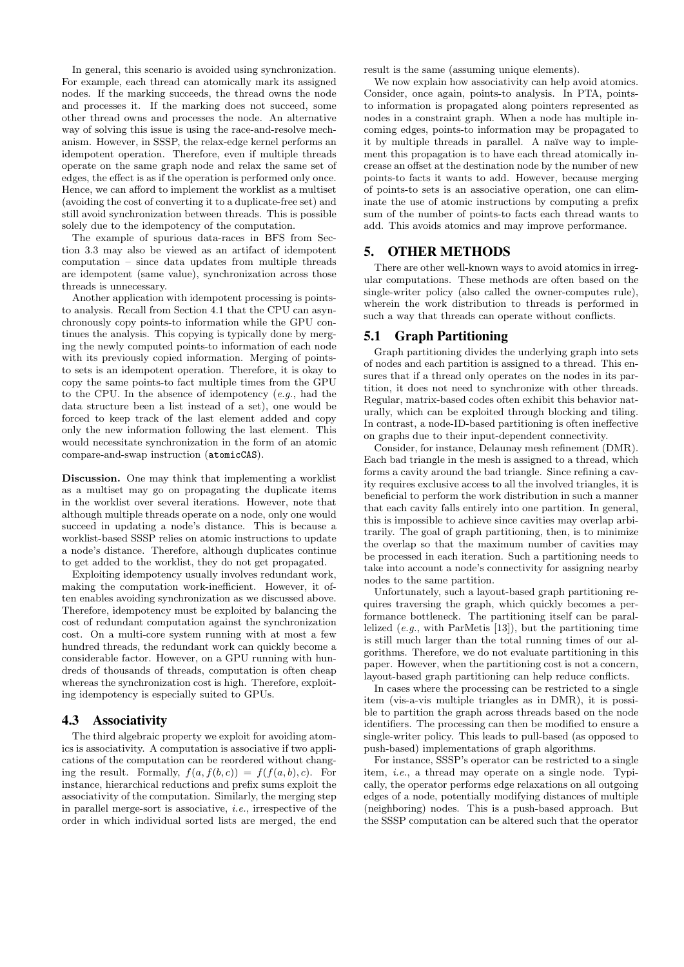In general, this scenario is avoided using synchronization. For example, each thread can atomically mark its assigned nodes. If the marking succeeds, the thread owns the node and processes it. If the marking does not succeed, some other thread owns and processes the node. An alternative way of solving this issue is using the race-and-resolve mechanism. However, in SSSP, the relax-edge kernel performs an idempotent operation. Therefore, even if multiple threads operate on the same graph node and relax the same set of edges, the effect is as if the operation is performed only once. Hence, we can afford to implement the worklist as a multiset (avoiding the cost of converting it to a duplicate-free set) and still avoid synchronization between threads. This is possible solely due to the idempotency of the computation.

The example of spurious data-races in BFS from Section 3.3 may also be viewed as an artifact of idempotent computation – since data updates from multiple threads are idempotent (same value), synchronization across those threads is unnecessary.

Another application with idempotent processing is pointsto analysis. Recall from Section 4.1 that the CPU can asynchronously copy points-to information while the GPU continues the analysis. This copying is typically done by merging the newly computed points-to information of each node with its previously copied information. Merging of pointsto sets is an idempotent operation. Therefore, it is okay to copy the same points-to fact multiple times from the GPU to the CPU. In the absence of idempotency  $(e.g., h$ ad the data structure been a list instead of a set), one would be forced to keep track of the last element added and copy only the new information following the last element. This would necessitate synchronization in the form of an atomic compare-and-swap instruction (atomicCAS).

Discussion. One may think that implementing a worklist as a multiset may go on propagating the duplicate items in the worklist over several iterations. However, note that although multiple threads operate on a node, only one would succeed in updating a node's distance. This is because a worklist-based SSSP relies on atomic instructions to update a node's distance. Therefore, although duplicates continue to get added to the worklist, they do not get propagated.

Exploiting idempotency usually involves redundant work, making the computation work-inefficient. However, it often enables avoiding synchronization as we discussed above. Therefore, idempotency must be exploited by balancing the cost of redundant computation against the synchronization cost. On a multi-core system running with at most a few hundred threads, the redundant work can quickly become a considerable factor. However, on a GPU running with hundreds of thousands of threads, computation is often cheap whereas the synchronization cost is high. Therefore, exploiting idempotency is especially suited to GPUs.

### 4.3 Associativity

The third algebraic property we exploit for avoiding atomics is associativity. A computation is associative if two applications of the computation can be reordered without changing the result. Formally,  $f(a, f(b, c)) = f(f(a, b), c)$ . For instance, hierarchical reductions and prefix sums exploit the associativity of the computation. Similarly, the merging step in parallel merge-sort is associative, i.e., irrespective of the order in which individual sorted lists are merged, the end result is the same (assuming unique elements).

We now explain how associativity can help avoid atomics. Consider, once again, points-to analysis. In PTA, pointsto information is propagated along pointers represented as nodes in a constraint graph. When a node has multiple incoming edges, points-to information may be propagated to it by multiple threads in parallel. A naïve way to implement this propagation is to have each thread atomically increase an offset at the destination node by the number of new points-to facts it wants to add. However, because merging of points-to sets is an associative operation, one can eliminate the use of atomic instructions by computing a prefix sum of the number of points-to facts each thread wants to add. This avoids atomics and may improve performance.

# 5. OTHER METHODS

There are other well-known ways to avoid atomics in irregular computations. These methods are often based on the single-writer policy (also called the owner-computes rule), wherein the work distribution to threads is performed in such a way that threads can operate without conflicts.

### 5.1 Graph Partitioning

Graph partitioning divides the underlying graph into sets of nodes and each partition is assigned to a thread. This ensures that if a thread only operates on the nodes in its partition, it does not need to synchronize with other threads. Regular, matrix-based codes often exhibit this behavior naturally, which can be exploited through blocking and tiling. In contrast, a node-ID-based partitioning is often ineffective on graphs due to their input-dependent connectivity.

Consider, for instance, Delaunay mesh refinement (DMR). Each bad triangle in the mesh is assigned to a thread, which forms a cavity around the bad triangle. Since refining a cavity requires exclusive access to all the involved triangles, it is beneficial to perform the work distribution in such a manner that each cavity falls entirely into one partition. In general, this is impossible to achieve since cavities may overlap arbitrarily. The goal of graph partitioning, then, is to minimize the overlap so that the maximum number of cavities may be processed in each iteration. Such a partitioning needs to take into account a node's connectivity for assigning nearby nodes to the same partition.

Unfortunately, such a layout-based graph partitioning requires traversing the graph, which quickly becomes a performance bottleneck. The partitioning itself can be parallelized (e.g., with ParMetis [13]), but the partitioning time is still much larger than the total running times of our algorithms. Therefore, we do not evaluate partitioning in this paper. However, when the partitioning cost is not a concern, layout-based graph partitioning can help reduce conflicts.

In cases where the processing can be restricted to a single item (vis-a-vis multiple triangles as in DMR), it is possible to partition the graph across threads based on the node identifiers. The processing can then be modified to ensure a single-writer policy. This leads to pull-based (as opposed to push-based) implementations of graph algorithms.

For instance, SSSP's operator can be restricted to a single item, i.e., a thread may operate on a single node. Typically, the operator performs edge relaxations on all outgoing edges of a node, potentially modifying distances of multiple (neighboring) nodes. This is a push-based approach. But the SSSP computation can be altered such that the operator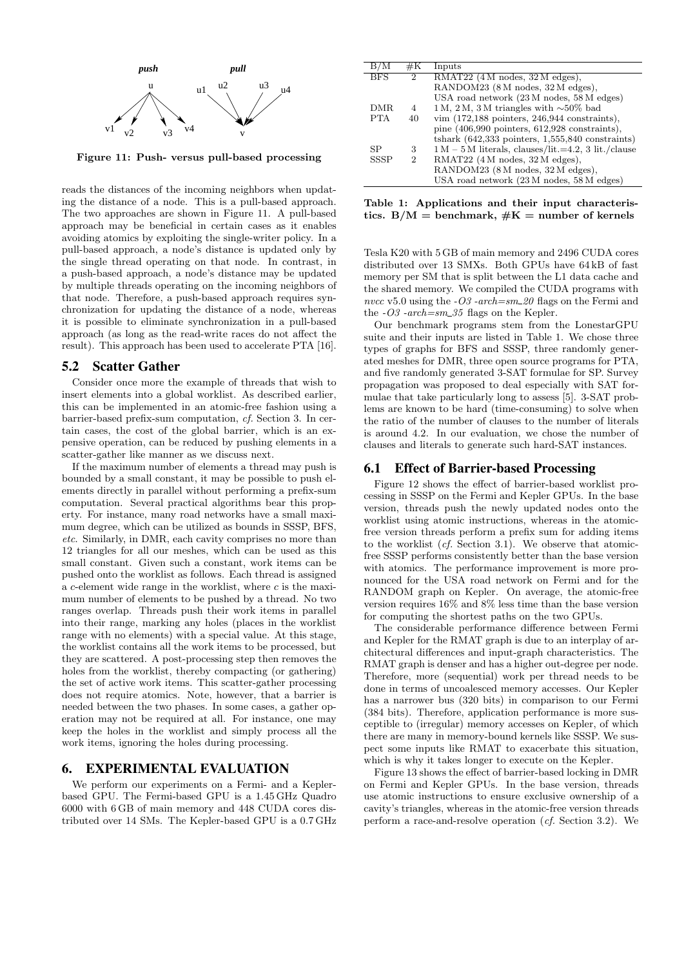

Figure 11: Push- versus pull-based processing

reads the distances of the incoming neighbors when updating the distance of a node. This is a pull-based approach. The two approaches are shown in Figure 11. A pull-based approach may be beneficial in certain cases as it enables avoiding atomics by exploiting the single-writer policy. In a pull-based approach, a node's distance is updated only by the single thread operating on that node. In contrast, in a push-based approach, a node's distance may be updated by multiple threads operating on the incoming neighbors of that node. Therefore, a push-based approach requires synchronization for updating the distance of a node, whereas it is possible to eliminate synchronization in a pull-based approach (as long as the read-write races do not affect the result). This approach has been used to accelerate PTA [16].

#### 5.2 Scatter Gather

Consider once more the example of threads that wish to insert elements into a global worklist. As described earlier, this can be implemented in an atomic-free fashion using a barrier-based prefix-sum computation, cf. Section 3. In certain cases, the cost of the global barrier, which is an expensive operation, can be reduced by pushing elements in a scatter-gather like manner as we discuss next.

If the maximum number of elements a thread may push is bounded by a small constant, it may be possible to push elements directly in parallel without performing a prefix-sum computation. Several practical algorithms bear this property. For instance, many road networks have a small maximum degree, which can be utilized as bounds in SSSP, BFS, etc. Similarly, in DMR, each cavity comprises no more than 12 triangles for all our meshes, which can be used as this small constant. Given such a constant, work items can be pushed onto the worklist as follows. Each thread is assigned a c-element wide range in the worklist, where c is the maximum number of elements to be pushed by a thread. No two ranges overlap. Threads push their work items in parallel into their range, marking any holes (places in the worklist range with no elements) with a special value. At this stage, the worklist contains all the work items to be processed, but they are scattered. A post-processing step then removes the holes from the worklist, thereby compacting (or gathering) the set of active work items. This scatter-gather processing does not require atomics. Note, however, that a barrier is needed between the two phases. In some cases, a gather operation may not be required at all. For instance, one may keep the holes in the worklist and simply process all the work items, ignoring the holes during processing.

#### 6. EXPERIMENTAL EVALUATION

We perform our experiments on a Fermi- and a Keplerbased GPU. The Fermi-based GPU is a 1.45 GHz Quadro 6000 with 6 GB of main memory and 448 CUDA cores distributed over 14 SMs. The Kepler-based GPU is a 0.7 GHz

|             | #K             | Inputs                                                          |
|-------------|----------------|-----------------------------------------------------------------|
| <b>BFS</b>  | $\overline{2}$ | RMAT22 (4 M nodes, 32 M edges),                                 |
|             |                | RANDOM23 (8 M nodes, 32 M edges),                               |
|             |                | USA road network (23 M nodes, 58 M edges)                       |
| DMR         | 4              | 1 M, 2 M, 3 M triangles with $\sim 50\%$ bad                    |
| <b>PTA</b>  | 40             | vim $(172,188 \text{ pointers}, 246,944 \text{ constraints}),$  |
|             |                | pine $(406,990 \text{ pointers}, 612,928 \text{ constraints}),$ |
|             |                | tshark $(642,333$ pointers, $1,555,840$ constraints)            |
| SP          | 3              | $1 M - 5 M$ literals, clauses/lit.=4.2, 3 lit./clause           |
| <b>SSSP</b> | 2              | RMAT22 (4 M nodes, 32 M edges),                                 |
|             |                | RANDOM23 (8 M nodes, 32 M edges),                               |
|             |                | USA road network (23 M nodes, 58 M edges)                       |

Table 1: Applications and their input characteristics.  $B/M = \text{benchmark}, \#K = \text{number of kernels}$ 

Tesla K20 with 5 GB of main memory and 2496 CUDA cores distributed over 13 SMXs. Both GPUs have 64 kB of fast memory per SM that is split between the L1 data cache and the shared memory. We compiled the CUDA programs with nvcc v5.0 using the  $-O3$  -arch=sm 20 flags on the Fermi and the  $-O3$  -arch=sm 35 flags on the Kepler.

Our benchmark programs stem from the LonestarGPU suite and their inputs are listed in Table 1. We chose three types of graphs for BFS and SSSP, three randomly generated meshes for DMR, three open source programs for PTA, and five randomly generated 3-SAT formulae for SP. Survey propagation was proposed to deal especially with SAT formulae that take particularly long to assess [5]. 3-SAT problems are known to be hard (time-consuming) to solve when the ratio of the number of clauses to the number of literals is around 4.2. In our evaluation, we chose the number of clauses and literals to generate such hard-SAT instances.

#### 6.1 Effect of Barrier-based Processing

Figure 12 shows the effect of barrier-based worklist processing in SSSP on the Fermi and Kepler GPUs. In the base version, threads push the newly updated nodes onto the worklist using atomic instructions, whereas in the atomicfree version threads perform a prefix sum for adding items to the worklist  $(cf. Section 3.1)$ . We observe that atomicfree SSSP performs consistently better than the base version with atomics. The performance improvement is more pronounced for the USA road network on Fermi and for the RANDOM graph on Kepler. On average, the atomic-free version requires 16% and 8% less time than the base version for computing the shortest paths on the two GPUs.

The considerable performance difference between Fermi and Kepler for the RMAT graph is due to an interplay of architectural differences and input-graph characteristics. The RMAT graph is denser and has a higher out-degree per node. Therefore, more (sequential) work per thread needs to be done in terms of uncoalesced memory accesses. Our Kepler has a narrower bus (320 bits) in comparison to our Fermi (384 bits). Therefore, application performance is more susceptible to (irregular) memory accesses on Kepler, of which there are many in memory-bound kernels like SSSP. We suspect some inputs like RMAT to exacerbate this situation, which is why it takes longer to execute on the Kepler.

Figure 13 shows the effect of barrier-based locking in DMR on Fermi and Kepler GPUs. In the base version, threads use atomic instructions to ensure exclusive ownership of a cavity's triangles, whereas in the atomic-free version threads perform a race-and-resolve operation (cf. Section 3.2). We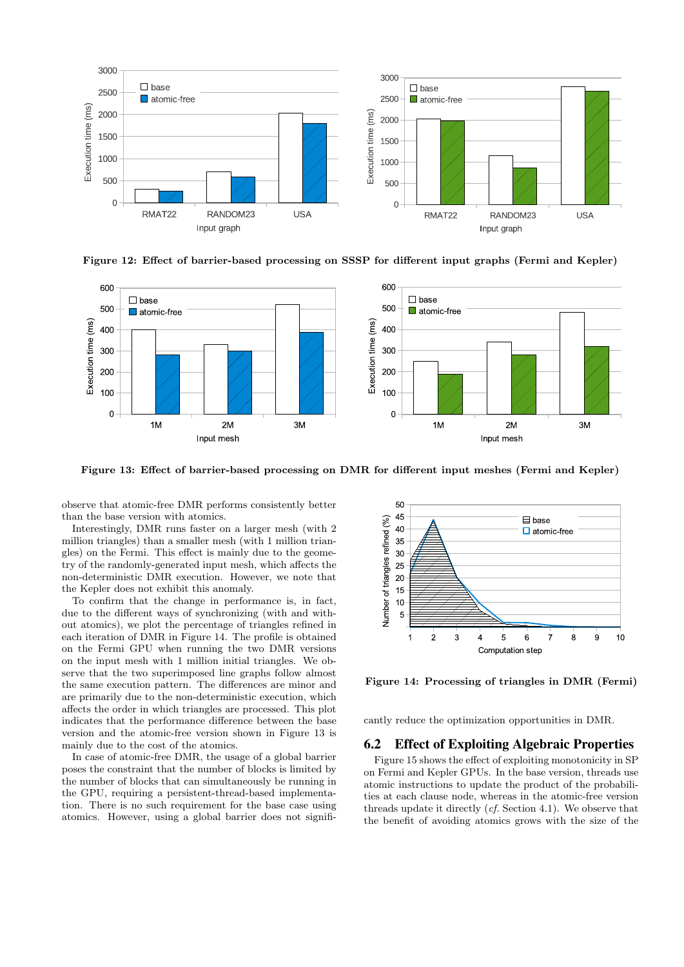

Figure 12: Effect of barrier-based processing on SSSP for different input graphs (Fermi and Kepler)



Figure 13: Effect of barrier-based processing on DMR for different input meshes (Fermi and Kepler)

observe that atomic-free DMR performs consistently better than the base version with atomics.

Interestingly, DMR runs faster on a larger mesh (with 2 million triangles) than a smaller mesh (with 1 million triangles) on the Fermi. This effect is mainly due to the geometry of the randomly-generated input mesh, which affects the non-deterministic DMR execution. However, we note that the Kepler does not exhibit this anomaly.

To confirm that the change in performance is, in fact, due to the different ways of synchronizing (with and without atomics), we plot the percentage of triangles refined in each iteration of DMR in Figure 14. The profile is obtained on the Fermi GPU when running the two DMR versions on the input mesh with 1 million initial triangles. We observe that the two superimposed line graphs follow almost the same execution pattern. The differences are minor and are primarily due to the non-deterministic execution, which affects the order in which triangles are processed. This plot indicates that the performance difference between the base version and the atomic-free version shown in Figure 13 is mainly due to the cost of the atomics.

In case of atomic-free DMR, the usage of a global barrier poses the constraint that the number of blocks is limited by the number of blocks that can simultaneously be running in the GPU, requiring a persistent-thread-based implementation. There is no such requirement for the base case using atomics. However, using a global barrier does not signifi-



Figure 14: Processing of triangles in DMR (Fermi)

cantly reduce the optimization opportunities in DMR.

#### 6.2 Effect of Exploiting Algebraic Properties

Figure 15 shows the effect of exploiting monotonicity in SP on Fermi and Kepler GPUs. In the base version, threads use atomic instructions to update the product of the probabilities at each clause node, whereas in the atomic-free version threads update it directly (cf. Section 4.1). We observe that the benefit of avoiding atomics grows with the size of the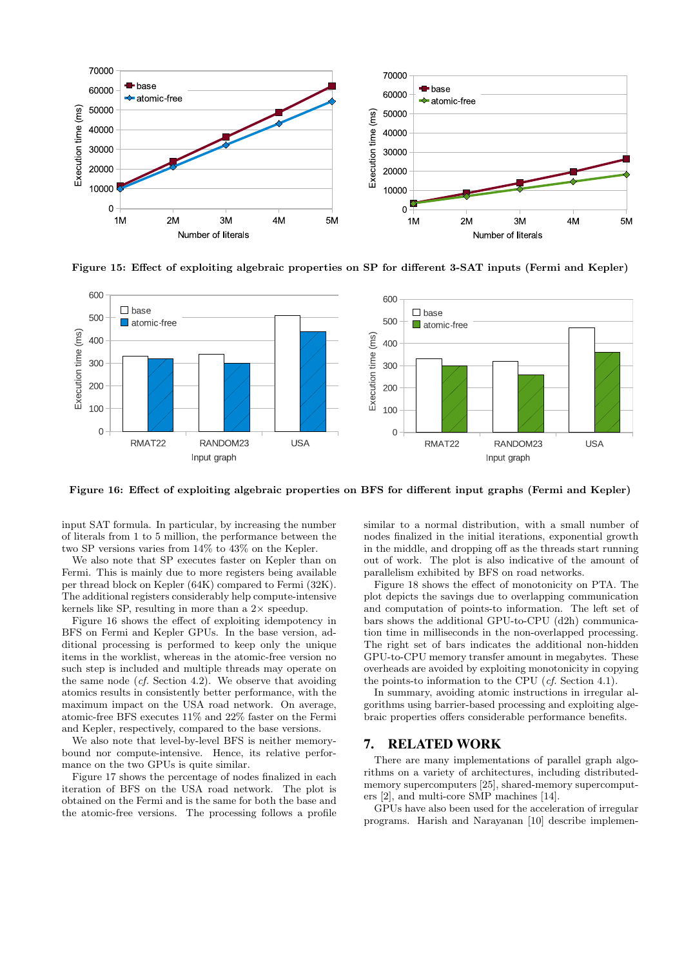

Figure 15: Effect of exploiting algebraic properties on SP for different 3-SAT inputs (Fermi and Kepler)



Figure 16: Effect of exploiting algebraic properties on BFS for different input graphs (Fermi and Kepler)

input SAT formula. In particular, by increasing the number of literals from 1 to 5 million, the performance between the two SP versions varies from 14% to 43% on the Kepler.

We also note that SP executes faster on Kepler than on Fermi. This is mainly due to more registers being available per thread block on Kepler (64K) compared to Fermi (32K). The additional registers considerably help compute-intensive kernels like SP, resulting in more than a  $2\times$  speedup.

Figure 16 shows the effect of exploiting idempotency in BFS on Fermi and Kepler GPUs. In the base version, additional processing is performed to keep only the unique items in the worklist, whereas in the atomic-free version no such step is included and multiple threads may operate on the same node  $(cf. Section 4.2)$ . We observe that avoiding atomics results in consistently better performance, with the maximum impact on the USA road network. On average, atomic-free BFS executes 11% and 22% faster on the Fermi and Kepler, respectively, compared to the base versions.

We also note that level-by-level BFS is neither memorybound nor compute-intensive. Hence, its relative performance on the two GPUs is quite similar.

Figure 17 shows the percentage of nodes finalized in each iteration of BFS on the USA road network. The plot is obtained on the Fermi and is the same for both the base and the atomic-free versions. The processing follows a profile similar to a normal distribution, with a small number of nodes finalized in the initial iterations, exponential growth in the middle, and dropping off as the threads start running out of work. The plot is also indicative of the amount of parallelism exhibited by BFS on road networks.

Figure 18 shows the effect of monotonicity on PTA. The plot depicts the savings due to overlapping communication and computation of points-to information. The left set of bars shows the additional GPU-to-CPU (d2h) communication time in milliseconds in the non-overlapped processing. The right set of bars indicates the additional non-hidden GPU-to-CPU memory transfer amount in megabytes. These overheads are avoided by exploiting monotonicity in copying the points-to information to the CPU (cf. Section 4.1).

In summary, avoiding atomic instructions in irregular algorithms using barrier-based processing and exploiting algebraic properties offers considerable performance benefits.

# 7. RELATED WORK

There are many implementations of parallel graph algorithms on a variety of architectures, including distributedmemory supercomputers [25], shared-memory supercomputers [2], and multi-core SMP machines [14].

GPUs have also been used for the acceleration of irregular programs. Harish and Narayanan [10] describe implemen-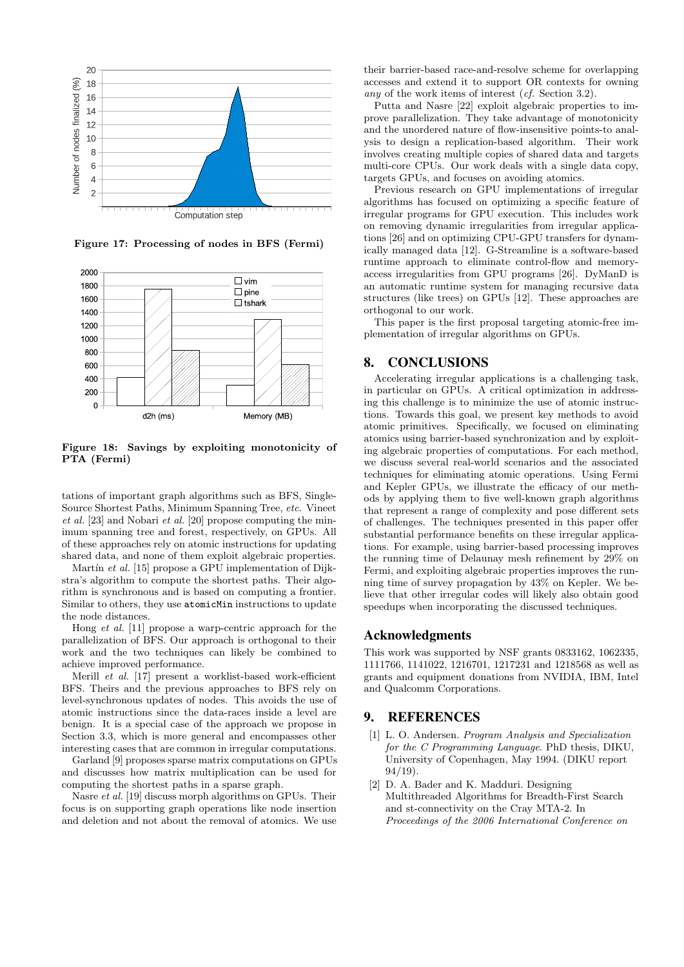

Figure 17: Processing of nodes in BFS (Fermi)



Figure 18: Savings by exploiting monotonicity of PTA (Fermi)

tations of important graph algorithms such as BFS, Single-Source Shortest Paths, Minimum Spanning Tree, etc. Vineet et al. [23] and Nobari et al. [20] propose computing the minimum spanning tree and forest, respectively, on GPUs. All of these approaches rely on atomic instructions for updating shared data, and none of them exploit algebraic properties.

Martín et al. [15] propose a GPU implementation of Dijkstra's algorithm to compute the shortest paths. Their algorithm is synchronous and is based on computing a frontier. Similar to others, they use atomicMin instructions to update the node distances.

Hong et al. [11] propose a warp-centric approach for the parallelization of BFS. Our approach is orthogonal to their work and the two techniques can likely be combined to achieve improved performance.

Merill et al. [17] present a worklist-based work-efficient BFS. Theirs and the previous approaches to BFS rely on level-synchronous updates of nodes. This avoids the use of atomic instructions since the data-races inside a level are benign. It is a special case of the approach we propose in Section 3.3, which is more general and encompasses other interesting cases that are common in irregular computations.

Garland [9] proposes sparse matrix computations on GPUs and discusses how matrix multiplication can be used for computing the shortest paths in a sparse graph.

Nasre et al. [19] discuss morph algorithms on GPUs. Their focus is on supporting graph operations like node insertion and deletion and not about the removal of atomics. We use

their barrier-based race-and-resolve scheme for overlapping accesses and extend it to support OR contexts for owning any of the work items of interest (cf. Section 3.2).

Putta and Nasre [22] exploit algebraic properties to improve parallelization. They take advantage of monotonicity and the unordered nature of flow-insensitive points-to analysis to design a replication-based algorithm. Their work involves creating multiple copies of shared data and targets multi-core CPUs. Our work deals with a single data copy, targets GPUs, and focuses on avoiding atomics.

Previous research on GPU implementations of irregular algorithms has focused on optimizing a specific feature of irregular programs for GPU execution. This includes work on removing dynamic irregularities from irregular applications [26] and on optimizing CPU-GPU transfers for dynamically managed data [12]. G-Streamline is a software-based runtime approach to eliminate control-flow and memoryaccess irregularities from GPU programs [26]. DyManD is an automatic runtime system for managing recursive data structures (like trees) on GPUs [12]. These approaches are orthogonal to our work.

This paper is the first proposal targeting atomic-free implementation of irregular algorithms on GPUs.

# 8. CONCLUSIONS

Accelerating irregular applications is a challenging task, in particular on GPUs. A critical optimization in addressing this challenge is to minimize the use of atomic instructions. Towards this goal, we present key methods to avoid atomic primitives. Specifically, we focused on eliminating atomics using barrier-based synchronization and by exploiting algebraic properties of computations. For each method, we discuss several real-world scenarios and the associated techniques for eliminating atomic operations. Using Fermi and Kepler GPUs, we illustrate the efficacy of our methods by applying them to five well-known graph algorithms that represent a range of complexity and pose different sets of challenges. The techniques presented in this paper offer substantial performance benefits on these irregular applications. For example, using barrier-based processing improves the running time of Delaunay mesh refinement by 29% on Fermi, and exploiting algebraic properties improves the running time of survey propagation by 43% on Kepler. We believe that other irregular codes will likely also obtain good speedups when incorporating the discussed techniques.

## Acknowledgments

This work was supported by NSF grants 0833162, 1062335, 1111766, 1141022, 1216701, 1217231 and 1218568 as well as grants and equipment donations from NVIDIA, IBM, Intel and Qualcomm Corporations.

### 9. REFERENCES

- [1] L. O. Andersen. Program Analysis and Specialization for the C Programming Language. PhD thesis, DIKU, University of Copenhagen, May 1994. (DIKU report 94/19).
- [2] D. A. Bader and K. Madduri. Designing Multithreaded Algorithms for Breadth-First Search and st-connectivity on the Cray MTA-2. In Proceedings of the 2006 International Conference on